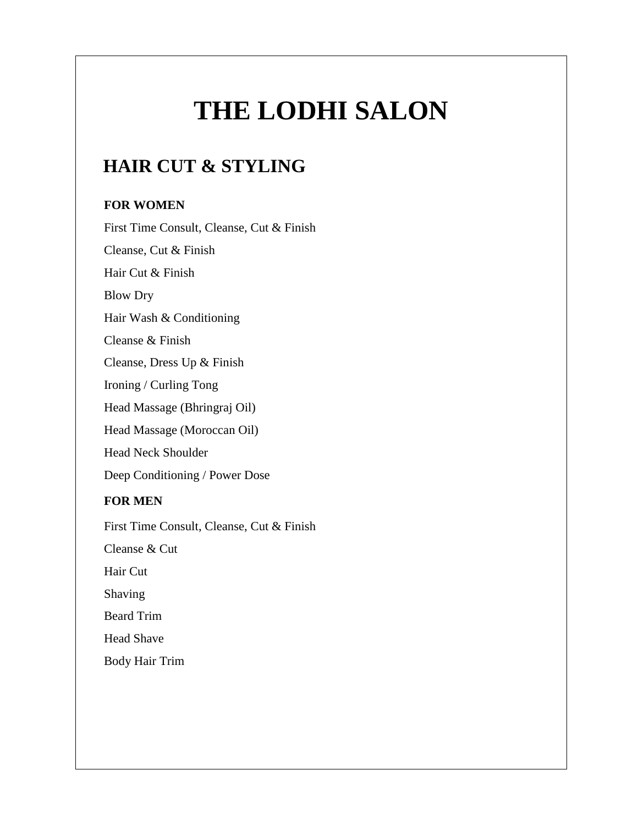# **THE LODHI SALON**

# **HAIR CUT & STYLING**

#### **FOR WOMEN**

First Time Consult, Cleanse, Cut & Finish Cleanse, Cut & Finish Hair Cut & Finish Blow Dry Hair Wash & Conditioning Cleanse & Finish Cleanse, Dress Up & Finish Ironing / Curling Tong Head Massage (Bhringraj Oil) Head Massage (Moroccan Oil) Head Neck Shoulder Deep Conditioning / Power Dose **FOR MEN** First Time Consult, Cleanse, Cut & Finish Cleanse & Cut Hair Cut Shaving Beard Trim Head Shave Body Hair Trim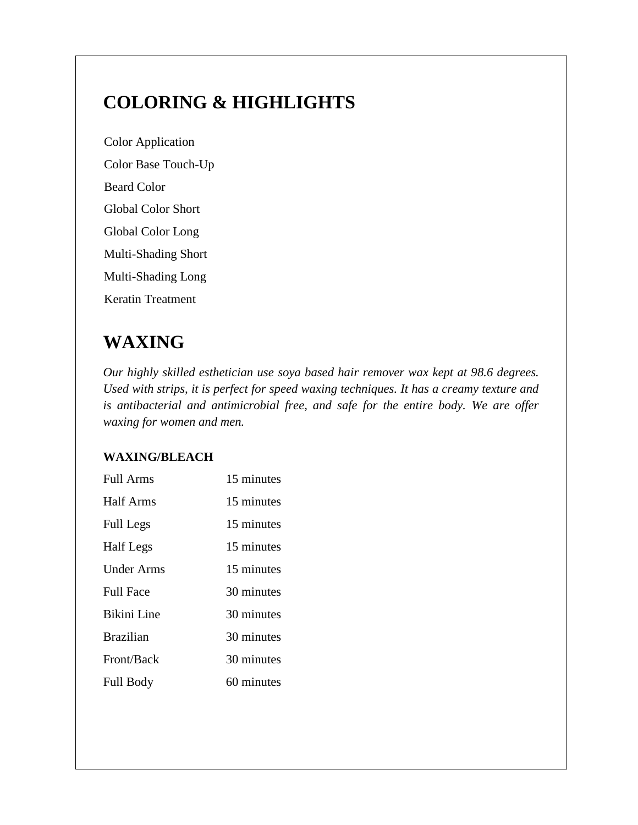# **COLORING & HIGHLIGHTS**

Color Application Color Base Touch-Up Beard Color Global Color Short Global Color Long Multi-Shading Short Multi-Shading Long Keratin Treatment

# **WAXING**

*Our highly skilled esthetician use soya based hair remover wax kept at 98.6 degrees. Used with strips, it is perfect for speed waxing techniques. It has a creamy texture and is antibacterial and antimicrobial free, and safe for the entire body. We are offer waxing for women and men.*

### **WAXING/BLEACH**

| Full Arms         | 15 minutes |
|-------------------|------------|
| Half Arms         | 15 minutes |
| <b>Full Legs</b>  | 15 minutes |
| <b>Half</b> Legs  | 15 minutes |
| <b>Under Arms</b> | 15 minutes |
| <b>Full Face</b>  | 30 minutes |
| Bikini Line       | 30 minutes |
| <b>Brazilian</b>  | 30 minutes |
| Front/Back        | 30 minutes |
| <b>Full Body</b>  | 60 minutes |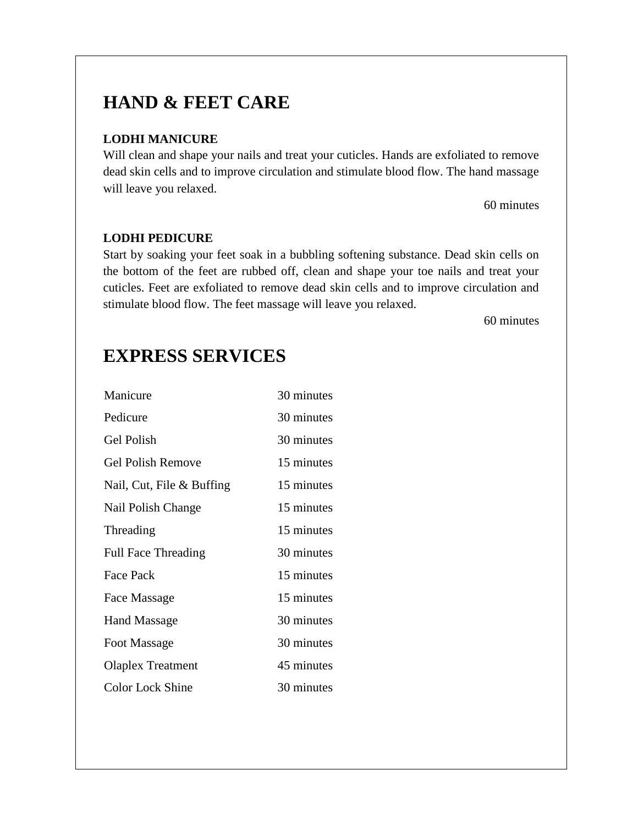# **HAND & FEET CARE**

### **LODHI MANICURE**

Will clean and shape your nails and treat your cuticles. Hands are exfoliated to remove dead skin cells and to improve circulation and stimulate blood flow. The hand massage will leave you relaxed.

60 minutes

#### **LODHI PEDICURE**

Start by soaking your feet soak in a bubbling softening substance. Dead skin cells on the bottom of the feet are rubbed off, clean and shape your toe nails and treat your cuticles. Feet are exfoliated to remove dead skin cells and to improve circulation and stimulate blood flow. The feet massage will leave you relaxed.

60 minutes

# **EXPRESS SERVICES**

| Manicure                   | 30 minutes |
|----------------------------|------------|
| Pedicure                   | 30 minutes |
| <b>Gel Polish</b>          | 30 minutes |
| <b>Gel Polish Remove</b>   | 15 minutes |
| Nail, Cut, File & Buffing  | 15 minutes |
| Nail Polish Change         | 15 minutes |
| Threading                  | 15 minutes |
| <b>Full Face Threading</b> | 30 minutes |
| <b>Face Pack</b>           | 15 minutes |
| Face Massage               | 15 minutes |
| <b>Hand Massage</b>        | 30 minutes |
| Foot Massage               | 30 minutes |
| <b>Olaplex Treatment</b>   | 45 minutes |
| <b>Color Lock Shine</b>    | 30 minutes |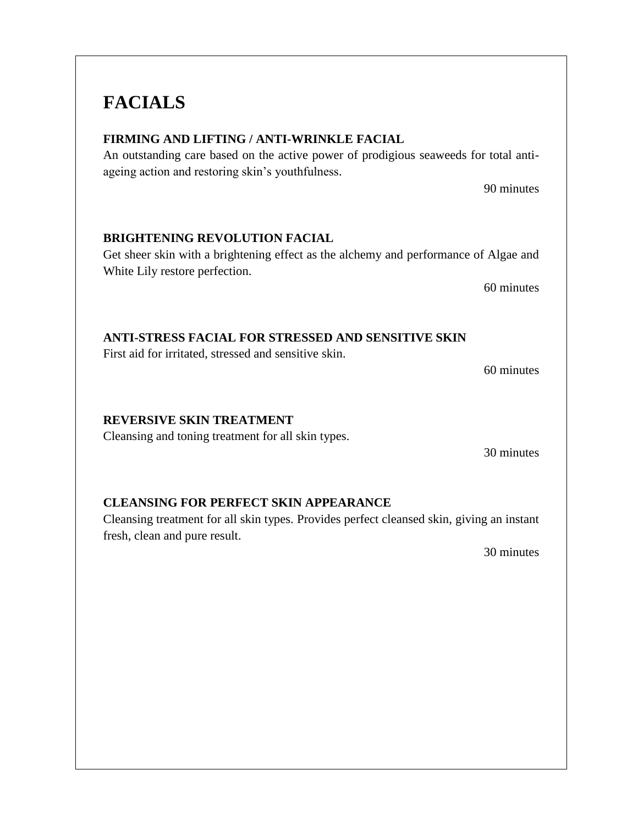# **FACIALS**

### **FIRMING AND LIFTING / ANTI-WRINKLE FACIAL**

An outstanding care based on the active power of prodigious seaweeds for total antiageing action and restoring skin's youthfulness.

90 minutes

### **BRIGHTENING REVOLUTION FACIAL**

Get sheer skin with a brightening effect as the alchemy and performance of Algae and White Lily restore perfection.

60 minutes

### **ANTI-STRESS FACIAL FOR STRESSED AND SENSITIVE SKIN**

First aid for irritated, stressed and sensitive skin.

60 minutes

#### **REVERSIVE SKIN TREATMENT**

Cleansing and toning treatment for all skin types.

30 minutes

### **CLEANSING FOR PERFECT SKIN APPEARANCE**

Cleansing treatment for all skin types. Provides perfect cleansed skin, giving an instant fresh, clean and pure result.

30 minutes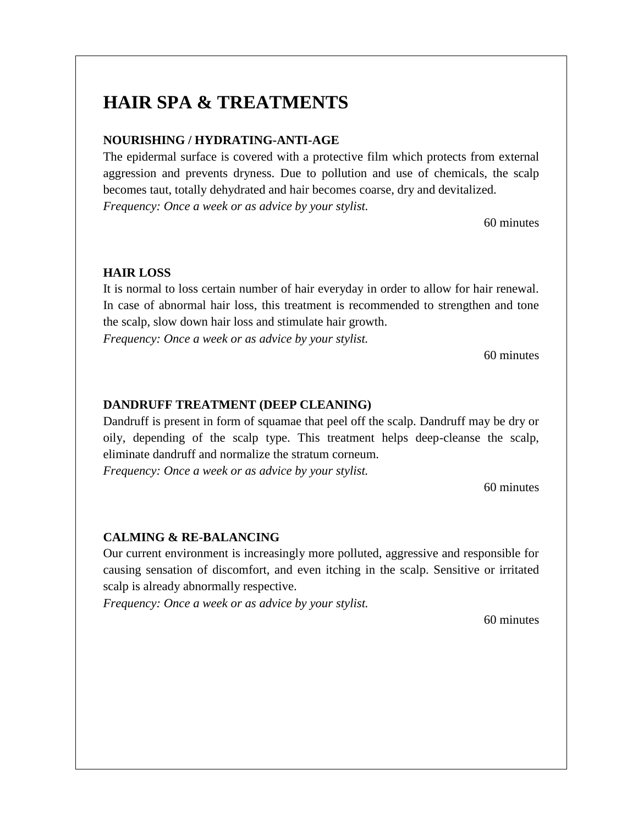### **HAIR SPA & TREATMENTS**

#### **NOURISHING / HYDRATING-ANTI-AGE**

The epidermal surface is covered with a protective film which protects from external aggression and prevents dryness. Due to pollution and use of chemicals, the scalp becomes taut, totally dehydrated and hair becomes coarse, dry and devitalized. *Frequency: Once a week or as advice by your stylist.*

60 minutes

#### **HAIR LOSS**

It is normal to loss certain number of hair everyday in order to allow for hair renewal. In case of abnormal hair loss, this treatment is recommended to strengthen and tone the scalp, slow down hair loss and stimulate hair growth.

*Frequency: Once a week or as advice by your stylist.*

60 minutes

#### **DANDRUFF TREATMENT (DEEP CLEANING)**

Dandruff is present in form of squamae that peel off the scalp. Dandruff may be dry or oily, depending of the scalp type. This treatment helps deep-cleanse the scalp, eliminate dandruff and normalize the stratum corneum. *Frequency: Once a week or as advice by your stylist.*

60 minutes

#### **CALMING & RE-BALANCING**

Our current environment is increasingly more polluted, aggressive and responsible for causing sensation of discomfort, and even itching in the scalp. Sensitive or irritated scalp is already abnormally respective.

*Frequency: Once a week or as advice by your stylist.*

60 minutes